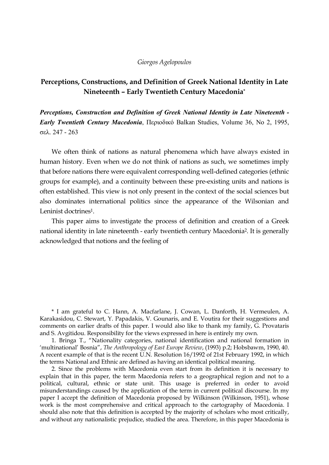#### *Giorgos Agelopoulos*

# **Perceptions, Constructions, and Definition of Greek National Identity in Late Nineteenth – Early Twentieth Century Macedonia\***

*Perceptions, Construction and Definition of Greek National Identity in Late Nineteenth - Early Twentieth Century Macedonia*, Περιοδικό Balkan Studies, Volume 36, No 2, 1995, σελ. 247 - 263

We often think of nations as natural phenomena which have always existed in human history. Even when we do not think of nations as such, we sometimes imply that before nations there were equivalent corresponding well-defined categories (ethnic groups for example), and a continuity between these pre-existing units and nations is often established. This view is not only present in the context of the social sciences but also dominates international politics since the appearance of the Wilsonian and Leninist doctrines<sup>1</sup>.

This paper aims to investigate the process of definition and creation of a Greek national identity in late nineteenth - early twentieth century Macedonia2. It is generally acknowledged that notions and the feeling of

\* I am grateful to C. Hann, A. Macfarlane, J. Cowan, L. Danforth, H. Vermeulen, A. Karakasidou, C. Stewart, Y. Papadakis, V. Gounaris, and E. Voutira for their suggestions and comments on earlier drafts of this paper. I would also like to thank my family, G. Provataris and S. Avgitidou. Responsibility for the views expressed in here is entirely my own.

1. Bringa T., "Nationality categories, national identification and national formation in 'multinational' Bosnia", *The Anthropology of East Europe Review*, (1993) p.2; Hobsbawm, 1990, 40. A recent example of that is the recent U.N. Resolution 16/1992 of 21st February 1992, in which the terms National and Ethnic are defined as having an identical political meaning.

2. Since the problems with Macedonia even start from its definition it is necessary to explain that in this paper, the term Macedonia refers to a geographical region and not to a political, cultural, ethnic or state unit. This usage is preferred in order to avoid misunderstandings caused by the application of the term in current political discourse. In my paper I accept the definition of Macedonia proposed by Wilkinson (Wilkinson, 1951), whose work is the most comprehensive and critical approach to the cartography of Macedonia. I should also note that this definition is accepted by the majority of scholars who most critically, and without any nationalistic prejudice, studied the area. Therefore, in this paper Macedonia is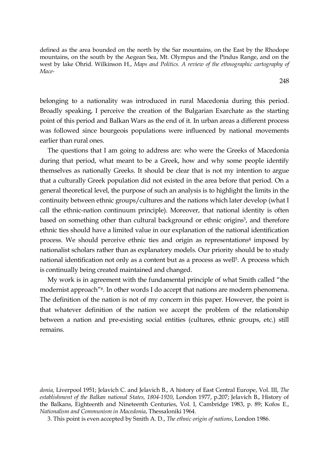defined as the area bounded on the north by the Sar mountains, on the East by the Rhodope mountains, on the south by the Aegean Sea, Mt. Olympus and the Pindus Range, and on the west by lake Ohrid. Wilkinson H., *Maps and Politics. A review of the ethnographic cartography of Mace-*

belonging to a nationality was introduced in rural Macedonia during this period. Broadly speaking, I perceive the creation of the Bulgarian Exarchate as the starting point of this period and Balkan Wars as the end of it. In urban areas a different process was followed since bourgeois populations were influenced by national movements earlier than rural ones.

The questions that I am going to address are: who were the Greeks of Macedonia during that period, what meant to be a Greek, how and why some people identify themselves as nationally Greeks. It should be clear that is not my intention to argue that a culturally Greek population did not existed in the area before that period. On a general theoretical level, the purpose of such an analysis is to highlight the limits in the continuity between ethnic groups/cultures and the nations which later develop (what I call the ethnic-nation continuum principle). Moreover, that national identity is often based on something other than cultural background or ethnic origins<sup>3</sup>, and therefore ethnic ties should have a limited value in our explanation of the national identification process. We should perceive ethnic ties and origin as representations4 imposed by nationalist scholars rather than as explanatory models. Our priority should be to study national identification not only as a content but as a process as well<sup>5</sup>. A process which is continually being created maintained and changed.

My work is in agreement with the fundamental principle of what Smith called "the modernist approach"6. In other words I do accept that nations are modern phenomena. The definition of the nation is not of my concern in this paper. However, the point is that whatever definition of the nation we accept the problem of the relationship between a nation and pre-existing social entities (cultures, ethnic groups, etc.) still remains.

248

*donia,* Liverpool 1951; Jelavich C. and Jelavich B., A history of East Central Europe, Vol. III, *The establishment of the Balkan national States, 1804-1920*, London 1977, p.207; Jelavich B., History of the Balkans, Eighteenth and Nineteenth Centuries, Vol. I, Cambridge 1983, p. 89; Kofos E., *Nationalism and Communism in Macedonia*, Thessaloniki 1964.

<sup>3.</sup> This point is even accepted by Smith A. D., *The ethnic origin of nations*, London 1986.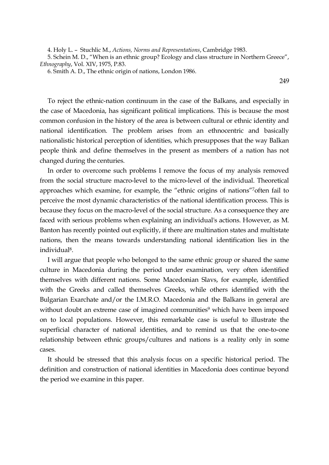4. Holy L. – Stuchlic M., *Actions, Norms and Representations*, Cambridge 1983.

5. Schein M. D., "When is an ethnic group? Ecology and class structure in Northern Greece", *Ethnography*, Vol. XIV, 1975, P.83.

6. Smith A. D., The ethnic origin of nations, London 1986.

249

To reject the ethnic-nation continuum in the case of the Balkans, and especially in the case of Macedonia, has significant political implications. This is because the most common confusion in the history of the area is between cultural or ethnic identity and national identification. The problem arises from an ethnocentric and basically nationalistic historical perception of identities, which presupposes that the way Balkan people think and define themselves in the present as members of a nation has not changed during the centuries.

In order to overcome such problems I remove the focus of my analysis removed from the social structure macro-level to the micro-level of the individual. Theoretical approaches which examine, for example, the "ethnic origins of nations"7often fail to perceive the most dynamic characteristics of the national identification process. This is because they focus on the macro-level of the social structure. As a consequence they are faced with serious problems when explaining an individual's actions. However, as M. Banton has recently pointed out explicitly, if there are multination states and multistate nations, then the means towards understanding national identification lies in the individual8.

I will argue that people who belonged to the same ethnic group or shared the same culture in Macedonia during the period under examination, very often identified themselves with different nations. Some Macedonian Slavs, for example, identified with the Greeks and called themselves Greeks, while others identified with the Bulgarian Exarchate and/or the I.M.R.O. Macedonia and the Balkans in general are without doubt an extreme case of imagined communities<sup>9</sup> which have been imposed on to local populations. However, this remarkable case is useful to illustrate the superficial character of national identities, and to remind us that the one-to-one relationship between ethnic groups/cultures and nations is a reality only in some cases.

It should be stressed that this analysis focus on a specific historical period. The definition and construction of national identities in Macedonia does continue beyond the period we examine in this paper.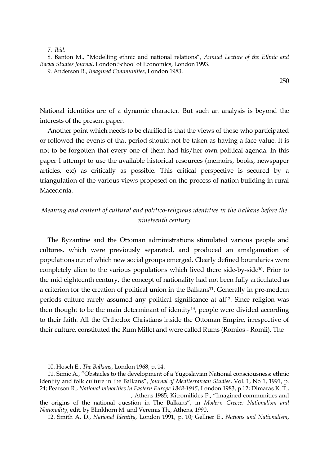7. *Ibid*.

8. Banton M., "Modelling ethnic and national relations", *Annual Lecture of the Ethnic and Racial Studies Journal*, London School of Economics, London 1993.

9. Anderson B., *Imagined Communities*, London 1983.

250

National identities are of a dynamic character. But such an analysis is beyond the interests of the present paper.

Another point which needs to be clarified is that the views of those who participated or followed the events of that period should not be taken as having a face value. It is not to be forgotten that every one of them had his/her own political agenda. In this paper I attempt to use the available historical resources (memoirs, books, newspaper articles, etc) as critically as possible. This critical perspective is secured by a triangulation of the various views proposed on the process of nation building in rural Macedonia.

## *Meaning and content of cultural and politico-religious identities in the Balkans before the nineteenth century*

The Byzantine and the Ottoman administrations stimulated various people and cultures, which were previously separated, and produced an amalgamation of populations out of which new social groups emerged. Clearly defined boundaries were completely alien to the various populations which lived there side-by-side10. Prior to the mid eighteenth century, the concept of nationality had not been fully articulated as a criterion for the creation of political union in the Balkans<sup>11</sup>. Generally in pre-modern periods culture rarely assumed any political significance at all<sup>12</sup>. Since religion was then thought to be the main determinant of identity13, people were divided according to their faith. All the Orthodox Christians inside the Ottoman Empire, irrespective of their culture, constituted the Rum Millet and were called Rums (Romios - Romii). The

10. Hosch E., *The Balkans*, London 1968, p. 14.

12. Smith A. D., *National Identity*, London 1991, p. 10; Gellner E., *Nations and Nationalism*,

<sup>11.</sup> Simic A., "Obstacles to the development of a Yugoslavian National consciousness: ethnic identity and folk culture in the Balkans", *Journal of Mediterranean Studies*, Vol. 1, No 1, 1991, p. 24; Pearson R., *National minorities in Eastern Europe 1848-1945*, London 1983, p.12; Dimaras K. T., , Athens 1985; Kitromilides P., "Imagined communities and

the origins of the national question in The Balkans", in *Modern Greece: Nationalism and Nationality*, edit. by Blinkhorn M. and Veremis Th., Athens, 1990.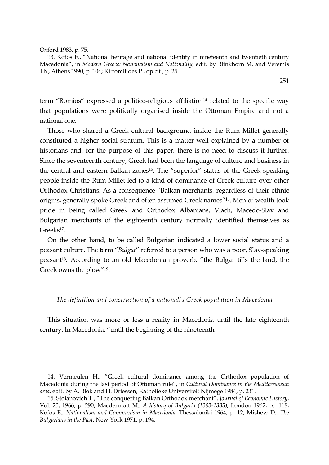Oxford 1983, p. 75.

13. Kofos E., "National heritage and national identity in nineteenth and twentieth century Macedonia", in *Modern Greece: Nationalism and Nationality*, edit. by Blinkhorn M. and Veremis Th., Athens 1990, p. 104; Kitromilides P., op.cit., p. 25.

term "Romios" expressed a politico-religious affiliation<sup>14</sup> related to the specific way that populations were politically organised inside the Ottoman Empire and not a national one.

Those who shared a Greek cultural background inside the Rum Millet generally constituted a higher social stratum. This is a matter well explained by a number of historians and, for the purpose of this paper, there is no need to discuss it further. Since the seventeenth century, Greek had been the language of culture and business in the central and eastern Balkan zones<sup>15</sup>. The "superior" status of the Greek speaking people inside the Rum Millet led to a kind of dominance of Greek culture over other Orthodox Christians. As a consequence "Balkan merchants, regardless of their ethnic origins, generally spoke Greek and often assumed Greek names"16. Men of wealth took pride in being called Greek and Orthodox Albanians, Vlach, Macedo-Slav and Bulgarian merchants of the eighteenth century normally identified themselves as Greeks<sup>17</sup>.

On the other hand, to be called Bulgarian indicated a lower social status and a peasant culture. The term "*Bulgar*" referred to a person who was a poor, Slav-speaking peasant<sup>18</sup>. According to an old Macedonian proverb, "the Bulgar tills the land, the Greek owns the plow"19.

### *The definition and construction of a nationally Greek population in Macedonia*

This situation was more or less a reality in Macedonia until the late eighteenth century. In Macedonia, "until the beginning of the nineteenth

251

<sup>14.</sup> Vermeulen H., "Greek cultural dominance among the Orthodox population of Macedonia during the last period of Ottoman rule", in *Cultural Dominance in the Mediterranean area*, edit. by A. Blok and H. Driessen, Katholieke Universiteit Nijmege 1984, p. 231.

<sup>15.</sup> Stoianovich T., "The conquering Balkan Orthodox merchant", *Journal of Economic History*, Vol. 20, 1966, p. 290; Macdermott M., *A history of Bulgaria (1393-1885),* London 1962, p. 118; Kofos E., *Nationalism and Communism in Macedonia,* Thessaloniki 1964, p. 12, Mishew D., *The Bulgarians in the Past*, New York 1971, p. 194.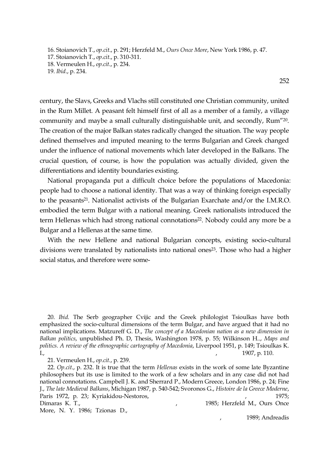16. Stoianovich T., *op.cit*., p. 291; Herzfeld M., *Ours Once More*, New York 1986, p. 47. 17. Stoianovich T., *op.cit*., p. 310-311. 18. Vermeulen H., *op.cit*., p. 234. 19. *Ibid*., p. 234.

252

century, the Slavs, Greeks and Vlachs still constituted one Christian community, united in the Rum Millet. A peasant felt himself first of all as a member of a family, a village community and maybe a small culturally distinguishable unit, and secondly, Rum"20. The creation of the major Balkan states radically changed the situation. The way people defined themselves and imputed meaning to the terms Bulgarian and Greek changed under the influence of national movements which later developed in the Balkans. The crucial question, of course, is how the population was actually divided, given the differentiations and identity boundaries existing.

National propaganda put a difficult choice before the populations of Macedonia: people had to choose a national identity. That was a way of thinking foreign especially to the peasants21. Nationalist activists of the Bulgarian Exarchate and/or the I.M.R.O. embodied the term Bulgar with a national meaning. Greek nationalists introduced the term Hellenas which had strong national connotations<sup>22</sup>. Nobody could any more be a Bulgar and a Hellenas at the same time.

With the new Hellene and national Bulgarian concepts, existing socio-cultural divisions were translated by nationalists into national ones<sup>23</sup>. Those who had a higher social status, and therefore were some-

20. *Ibid.* The Serb geographer Cvijic and the Greek philologist Tsioulkas have both emphasized the socio-cultural dimensions of the term Bulgar, and have argued that it had no national implications. Matzureff G. D., *The concept of a Macedonian nation as a new dimension in Balkan politics*, unpublished Ph. D, Thesis, Washington 1978, p. 55; Wilkinson H.., *Maps and politics. A review of the ethnographic cartography of Macedonia*, Liverpool 1951, p. 149; Tsioulkas K.  $I_{\nu}$  1907, p. 110.

21. Vermeulen H., *op.cit.*, p. 239.

22. *Op.cit*., p. 232. It is true that the term *Hellenas* exists in the work of some late Byzantine philosophers but its use is limited to the work of a few scholars and in any case did not had national connotations. Campbell J. K. and Sherrard P., Modern Greece, London 1986, p. 24; Fine J., *The late Medieval Balkans*, Michigan 1987, p. 540-542; Svoronos G., *Histoire de la Greece Moderne*, Paris 1972, p. 23; Kyriakidou-Nestoros, 1975; Dimaras K. T., 2008 1985; Herzfeld M., Ours Once More, N. Y. 1986; Tzionas D.,

1989; Andreadis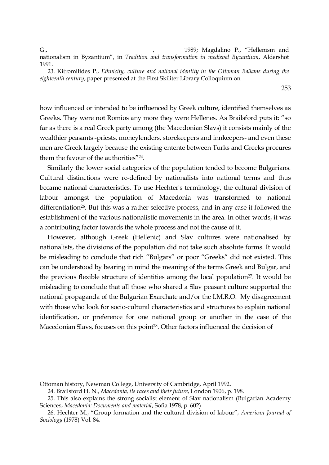G., Samuel C., Samuel A., Samuel A., Sangdalino P., "Hellenism and nationalism in Byzantium", in *Tradition and transformation in medieval Byzantium*, Aldershot 1991.

23. Kitromilides P., *Ethnicity, culture and national identity in the Ottoman Balkans during the eighteenth century*, paper presented at the First Skiliter Library Colloquium on

253

how influenced or intended to be influenced by Greek culture, identified themselves as Greeks. They were not Romios any more they were Hellenes. As Brailsford puts it: "so far as there is a real Greek party among (the Macedonian Slavs) it consists mainly of the wealthier peasants -priests, moneylenders, storekeepers and innkeepers- and even these men are Greek largely because the existing entente between Turks and Greeks procures them the favour of the authorities"24.

Similarly the lower social categories of the population tended to become Bulgarians. Cultural distinctions were re-defined by nationalists into national terms and thus became national characteristics. To use Hechter's terminology, the cultural division of labour amongst the population of Macedonia was transformed to national differentiation<sup>26</sup>. But this was a rather selective process, and in any case it followed the establishment of the various nationalistic movements in the area. In other words, it was a contributing factor towards the whole process and not the cause of it.

However, although Greek (Hellenic) and Slav cultures were nationalised by nationalists, the divisions of the population did not take such absolute forms. It would be misleading to conclude that rich "Bulgars" or poor "Greeks" did not existed. This can be understood by bearing in mind the meaning of the terms Greek and Bulgar, and the previous flexible structure of identities among the local population<sup>27</sup>. It would be misleading to conclude that all those who shared a Slav peasant culture supported the national propaganda of the Bulgarian Exarchate and/or the I.M.R.O. My disagreement with those who look for socio-cultural characteristics and structures to explain national identification, or preference for one national group or another in the case of the Macedonian Slavs, focuses on this point28. Other factors influenced the decision of

Ottoman history, Newman College, University of Cambridge, April 1992.

<sup>24.</sup> Brailsford H. N., *Macedonia, its races and their future*, London 1906, p. 198.

<sup>25.</sup> This also explains the strong socialist element of Slav nationalism (Bulgarian Academy Sciences, *Macedonia: Documents and material*, Sofia 1978, p. 602)

<sup>26.</sup> Hechter M., "Group formation and the cultural division of labour", *American Journal of Sociology* (1978) Vol. 84.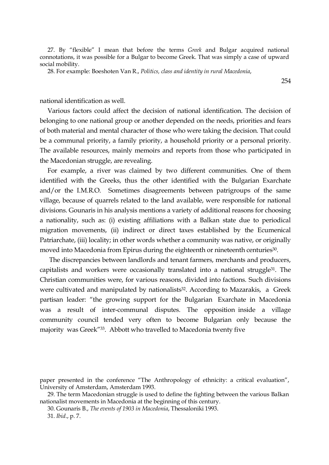27. By "flexible" I mean that before the terms *Greek* and Bulgar acquired national connotations, it was possible for a Bulgar to become Greek. That was simply a case of upward social mobility.

28. For example: Boeshoten Van R., *Politics, class and identity in rural Macedonia*,

254

national identification as well.

Various factors could affect the decision of national identification. The decision of belonging to one national group or another depended on the needs, priorities and fears of both material and mental character of those who were taking the decision. That could be a communal priority, a family priority, a household priority or a personal priority. The available resources, mainly memoirs and reports from those who participated in the Macedonian struggle, are revealing.

For example, a river was claimed by two different communities. One of them identified with the Greeks, thus the other identified with the Bulgarian Exarchate and/or the I.M.R.O. Sometimes disagreements between patrigroups of the same village, because of quarrels related to the land available, were responsible for national divisions. Gounaris in his analysis mentions a variety of additional reasons for choosing a nationality, such as: (i) existing affiliations with a Balkan state due to periodical migration movements, (ii) indirect or direct taxes established by the Ecumenical Patriarchate, (iii) locality; in other words whether a community was native, or originally moved into Macedonia from Epirus during the eighteenth or nineteenth centuries<sup>30</sup>.

The discrepancies between landlords and tenant farmers, merchants and producers, capitalists and workers were occasionally translated into a national struggle31. The Christian communities were, for various reasons, divided into factions. Such divisions were cultivated and manipulated by nationalists<sup>32</sup>. According to Mazarakis, a Greek partisan leader: "the growing support for the Bulgarian Exarchate in Macedonia was a result of inter-communal disputes. The opposition inside a village community council tended very often to become Bulgarian only because the majority was Greek"33. Abbott who travelled to Macedonia twenty five

30. Gounaris B., *The events of 1903 in Macedonia*, Thessaloniki 1993.

paper presented in the conference "The Anthropology of ethnicity: a critical evaluation", University of Amsterdam, Amsterdam 1993.

<sup>29.</sup> The term Macedonian struggle is used to define the fighting between the various Balkan nationalist movements in Macedonia at the beginning of this century.

<sup>31.</sup> *Ibid*., p. 7.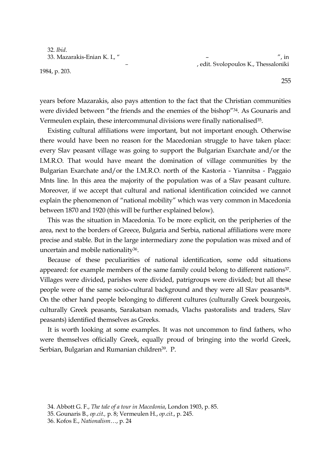32. *Ibid*.

1984, p. 203.

33. Mazarakis-Enian K. I., " – ", in *–* , edit. Svolopoulos K., Thessaloniki

years before Mazarakis, also pays attention to the fact that the Christian communities were divided between "the friends and the enemies of the bishop"34. As Gounaris and Vermeulen explain, these intercommunal divisions were finally nationalised<sup>35</sup>.

Existing cultural affiliations were important, but not important enough. Otherwise there would have been no reason for the Macedonian struggle to have taken place: every Slav peasant village was going to support the Bulgarian Exarchate and/or the I.M.R.O. That would have meant the domination of village communities by the Bulgarian Exarchate and/or the I.M.R.O. north of the Kastoria - Yiannitsa - Paggaio Mnts line. In this area the majority of the population was of a Slav peasant culture. Moreover, if we accept that cultural and national identification coincided we cannot explain the phenomenon of "national mobility" which was very common in Macedonia between 1870 and 1920 (this will be further explained below).

This was the situation in Macedonia. To be more explicit, on the peripheries of the area, next to the borders of Greece, Bulgaria and Serbia, national affiliations were more precise and stable. But in the large intermediary zone the population was mixed and of uncertain and mobile nationality<sup>36</sup>.

Because of these peculiarities of national identification, some odd situations appeared: for example members of the same family could belong to different nations<sup>37</sup>. Villages were divided, parishes were divided, patrigroups were divided; but all these people were of the same socio-cultural background and they were all Slav peasants<sup>38</sup>. On the other hand people belonging to different cultures (culturally Greek bourgeois, culturally Greek peasants, Sarakatsan nomads, Vlachs pastoralists and traders, Slav peasants) identified themselves as Greeks.

It is worth looking at some examples. It was not uncommon to find fathers, who were themselves officially Greek, equally proud of bringing into the world Greek, Serbian, Bulgarian and Rumanian children<sup>39</sup>. P.

<sup>34.</sup> Abbott G. F., *The tale of a tour in Macedonia*, London 1903, p. 85.

<sup>35.</sup> Gounaris B., *op.cit.,* p. 8; Vermeulen H., *op.cit*., p. 245.

<sup>36.</sup> Kofos E., *Nationalism*…, p. 24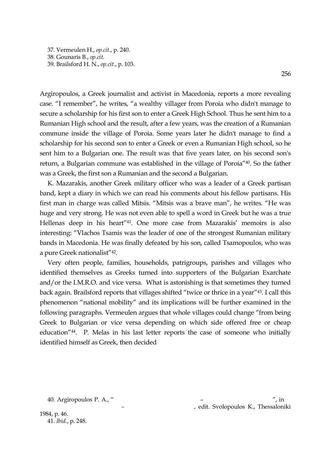37. Vermeulen H., *op.cit*., p. 240. 38. Gounaris B., *op.cit*. 39. Brailsford H. N., *op.cit*., p. 103.

Argiropoulos, a Greek journalist and activist in Macedonia, reports a more revealing case. "I remember", he writes, "a wealthy villager from Poroia who didn't manage to secure a scholarship for his first son to enter a Greek High School. Thus he sent him to a Rumanian High school and the result, after a few years, was the creation of a Rumanian commune inside the village of Poroia. Some years later he didn't manage to find a scholarship for his second son to enter a Greek or even a Rumanian High school, so he sent him to a Bulgarian one. The result was that five years later, on his second son's return, a Bulgarian commune was established in the village of Poroia"40. So the father was a Greek, the first son a Rumanian and the second a Bulgarian.

K. Mazarakis, another Greek military officer who was a leader of a Greek partisan band, kept a diary in which we can read his comments about his fellow partisans. His first man in charge was called Mitsis. "Mitsis was a brave man", he writes. "He was huge and very strong. He was not even able to spell a word in Greek but he was a true Hellenas deep in his heart"41. One more case from Mazarakis' memoirs is also interesting: "Vlachos Tsamis was the leader of one of the strongest Rumanian military bands in Macedonia. He was finally defeated by his son, called Tsamopoulos, who was a pure Greek nationalist"42.

Very often people, families, households, patrigroups, parishes and villages who identified themselves as Greeks turned into supporters of the Bulgarian Exarchate and/or the I.M.R.O. and vice versa. What is astonishing is that sometimes they turned back again. Brailsford reports that villages shifted "twice or thrice in a year"43. I call this phenomenon "national mobility" and its implications will be further examined in the following paragraphs. Vermeulen argues that whole villages could change "from being Greek to Bulgarian or vice versa depending on which side offered free or cheap education"44. P. Melas in his last letter reports the case of someone who initially identified himself as Greek, then decided

40. Argiropoulos P. A., " – ", in *–* , edit. Svolopoulos K., Thessaloniki

1984, p. 46. 41. *Ibid*., p. 248.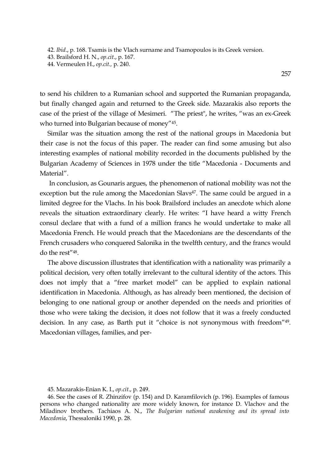42. *Ibid*., p. 168. Tsamis is the Vlach surname and Tsamopoulos is its Greek version.

43. Brailsford H. N., *op.cit*., p. 167.

44. Vermeulen H., *op.cit.,* p. 240.

to send his children to a Rumanian school and supported the Rumanian propaganda, but finally changed again and returned to the Greek side. Mazarakis also reports the case of the priest of the village of Mesimeri. "The priest", he writes, "was an ex-Greek who turned into Bulgarian because of money"45.

Similar was the situation among the rest of the national groups in Macedonia but their case is not the focus of this paper. The reader can find some amusing but also interesting examples of national mobility recorded in the documents published by the Bulgarian Academy of Sciences in 1978 under the title "Macedonia - Documents and Material".

In conclusion, as Gounaris argues, the phenomenon of national mobility was not the exception but the rule among the Macedonian Slavs<sup>47</sup>. The same could be argued in a limited degree for the Vlachs. In his book Brailsford includes an anecdote which alone reveals the situation extraordinary clearly. He writes: "I have heard a witty French consul declare that with a fund of a million francs he would undertake to make all Macedonia French. He would preach that the Macedonians are the descendants of the French crusaders who conquered Salonika in the twelfth century, and the francs would do the rest"48.

The above discussion illustrates that identification with a nationality was primarily a political decision, very often totally irrelevant to the cultural identity of the actors. This does not imply that a "free market model" can be applied to explain national identification in Macedonia. Although, as has already been mentioned, the decision of belonging to one national group or another depended on the needs and priorities of those who were taking the decision, it does not follow that it was a freely conducted decision. In any case, as Barth put it "choice is not synonymous with freedom"49. Macedonian villages, families, and per-

<sup>45.</sup> Mazarakis-Enian K. I., *op.cit*., p. 249.

<sup>46.</sup> See the cases of R. Zhinzifov (p. 154) and D. Karamfilovich (p. 196). Examples of famous persons who changed nationality are more widely known, for instance D. Vlachov and the Miladinov brothers. Tachiaos A. N., *The Bulgarian national awakening and its spread into Macedonia*, Thessaloniki 1990, p. 28.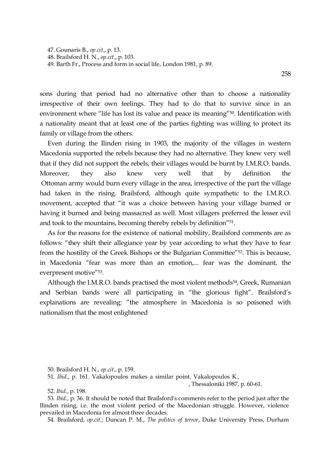47. Gounaris B., *op.cit*., p. 13. 48. Brailsford H. N., *op.cit*., p. 103. 49. Barth Fr., Process and form in social life, London 1981, p. 89.

sons during that period had no alternative other than to choose a nationality irrespective of their own feelings. They had to do that to survive since in an environment where "life has lost its value and peace its meaning"<sup>50</sup>. Identification with a nationality meant that at least one of the parties fighting was willing to protect its family or village from the others.

Even during the Ilinden rising in 1903, the majority of the villages in western Macedonia supported the rebels because they had no alternative. They knew very well that if they did not support the rebels, their villages would be burnt by I.M.R.O. bands. Moreover, they also knew very well that by definition the Ottoman army would burn every village in the area, irrespective of the part the village had taken in the rising. Brailsford, although quite sympathetic to the I.M.R.O. movement, accepted that "it was a choice between having your village burned or having it burned and being massacred as well. Most villagers preferred the lesser evil and took to the mountains, becoming thereby rebels by definition"<sup>51</sup>.

As for the reasons for the existence of national mobility, Brailsford comments are as follows: "they shift their allegiance year by year according to what they have to fear from the hostility of the Greek Bishops or the Bulgarian Committee"52. This is because, in Macedonia "fear was more than an emotion,... fear was the dominant, the everpresent motive"53.

Although the I.M.R.O. bands practised the most violent methods<sup>54</sup>, Greek, Rumanian and Serbian bands were all participating in "the glorious fight". Brailsford's explanations are revealing: "the atmosphere in Macedonia is so poisoned with nationalism that the most enlightened

- 50. Brailsford H. N., *op.cit*., p. 159.
- 51. *Ibid*., p. 161. Vakalopoulos makes a similar point. Vakalopoulos K*.,*

, Thessaloniki 1987, p. 60-61.

52. *Ibid*., p. 198.

53. *Ibid*., p. 36. It should be noted that Brailsford's comments refer to the period just after the Ilinden rising, i.e. the most violent period of the Macedonian struggle. However, violence prevailed in Macedonia for almost three decades.

54. Brailsford, *op.cit*.; Duncan P. M., *The politics of terror*, Duke University Press, Durham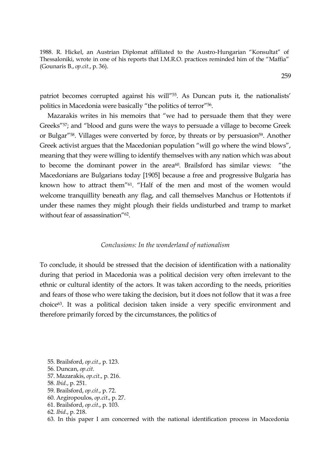1988. R. Hickel, an Austrian Diplomat affiliated to the Austro-Hungarian "Konsultat" of Thessaloniki, wrote in one of his reports that I.M.R.O. practices reminded him of the "Maffia" (Gounaris B., *op.cit*., p. 36).

patriot becomes corrupted against his will<sup>"55</sup>. As Duncan puts it, the nationalists' politics in Macedonia were basically "the politics of terror"56.

Mazarakis writes in his memoirs that "we had to persuade them that they were Greeks"57; and "blood and guns were the ways to persuade a village to become Greek or Bulgar<sup>"58</sup>. Villages were converted by force, by threats or by persuasion<sup>59</sup>. Another Greek activist argues that the Macedonian population "will go where the wind blows", meaning that they were willing to identify themselves with any nation which was about to become the dominant power in the area $60$ . Brailsford has similar views: "the Macedonians are Bulgarians today [1905] because a free and progressive Bulgaria has known how to attract them"61. "Half of the men and most of the women would welcome tranquillity beneath any flag, and call themselves Manchus or Hottentots if under these names they might plough their fields undisturbed and tramp to market without fear of assassination<sup>"62</sup>.

### *Conclusions: In the wonderland of nationalism*

To conclude, it should be stressed that the decision of identification with a nationality during that period in Macedonia was a political decision very often irrelevant to the ethnic or cultural identity of the actors. It was taken according to the needs, priorities and fears of those who were taking the decision, but it does not follow that it was a free choice63. It was a political decision taken inside a very specific environment and therefore primarily forced by the circumstances, the politics of

- 55. Brailsford, *op.cit*., p. 123.
- 56. Duncan, *op.cit*.
- 57. Mazarakis, *op.cit*., p. 216.
- 58. *Ibid*., p. 251.
- 59. Brailsford, *op.cit*., p. 72.
- 60. Argiropoulos, *op.cit*., p. 27.
- 61. Brailsford, *op.cit*., p. 103.
- 62. *Ibid*., p. 218.
- 63. In this paper I am concerned with the national identification process in Macedonia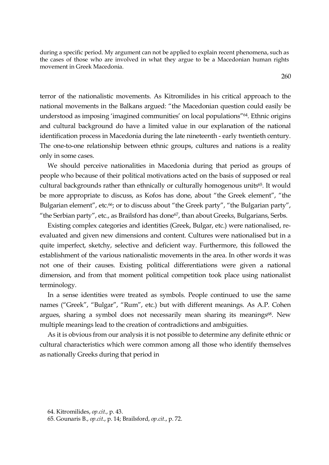during a specific period. My argument can not be applied to explain recent phenomena, such as the cases of those who are involved in what they argue to be a Macedonian human rights movement in Greek Macedonia.

260

terror of the nationalistic movements. As Kitromilides in his critical approach to the national movements in the Balkans argued: "the Macedonian question could easily be understood as imposing 'imagined communities' on local populations"64. Ethnic origins and cultural background do have a limited value in our explanation of the national identification process in Macedonia during the late nineteenth - early twentieth century. The one-to-one relationship between ethnic groups, cultures and nations is a reality only in some cases.

We should perceive nationalities in Macedonia during that period as groups of people who because of their political motivations acted on the basis of supposed or real cultural backgrounds rather than ethnically or culturally homogenous units<sup>65</sup>. It would be more appropriate to discuss, as Kofos has done, about "the Greek element", "the Bulgarian element", etc.<sup>66</sup>; or to discuss about "the Greek party", "the Bulgarian party", "the Serbian party", etc., as Brailsford has done<sup>67</sup>, than about Greeks, Bulgarians, Serbs.

Existing complex categories and identities (Greek, Bulgar, etc.) were nationalised, reevaluated and given new dimensions and content. Cultures were nationalised but in a quite imperfect, sketchy, selective and deficient way. Furthermore, this followed the establishment of the various nationalistic movements in the area. In other words it was not one of their causes. Existing political differentiations were given a national dimension, and from that moment political competition took place using nationalist terminology.

In a sense identities were treated as symbols. People continued to use the same names ("Greek", "Bulgar", "Rum", etc.) but with different meanings. As A.P. Cohen argues, sharing a symbol does not necessarily mean sharing its meanings<sup>68</sup>. New multiple meanings lead to the creation of contradictions and ambiguities.

As it is obvious from our analysis it is not possible to determine any definite ethnic or cultural characteristics which were common among all those who identify themselves as nationally Greeks during that period in

<sup>64.</sup> Kitromilides, *op.cit*., p. 43.

<sup>65.</sup> Gounaris B., *op.cit*., p. 14; Brailsford, *op.cit*., p. 72.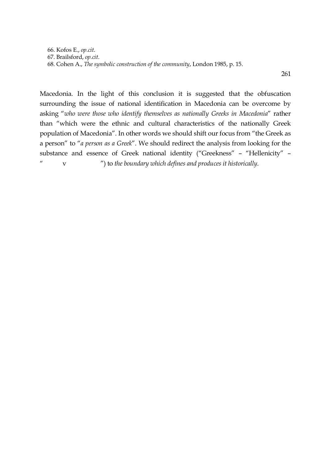66. Kofos E., *op.cit*. 67. Brailsford, *op.cit*. 68. Cohen A., *The symbolic construction of the community*, London 1985, p. 15.

261

Macedonia. In the light of this conclusion it is suggested that the obfuscation surrounding the issue of national identification in Macedonia can be overcome by asking "*who were those who identify themselves as nationally Greeks in Macedonia*" rather than "which were the ethnic and cultural characteristics of the nationally Greek population of Macedonia". In other words we should shift our focus from "the Greek as a person" to "*a person as a Greek*". We should redirect the analysis from looking for the substance and essence of Greek national identity ("Greekness" – "Hellenicity" – " v ") to *the boundary which defines and produces it historically*.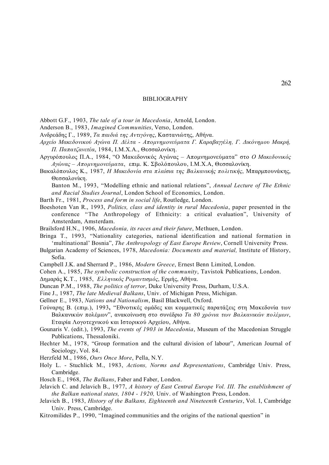#### BIBLIOGRAPHY

Abbott G.F., 1903, *The tale of a tour in Macedonia*, Arnold, London.

Anderson B., 1983, *Imagined Communities*, Verso, London.

Ανδρεάδης Γ., 1989, *Τα παιδιά της Αντιγόνης*, Καστανιώτης, Αθήνα.

Αρχείο Μακεδονικού Αγώνα Π. Δέλτα - Απομνημονεύματα Γ. Καραβαγγέλη, Γ. Δικόνημου Μακρή, *Π. Παπατζανετέα*, 1984, Ι.Μ.Χ.Α., Θεσσαλονίκη.

- Αργυρόπουλος Π.Α., 1984, "Ο Μακεδονικός Αγώνας Αποµνηµονεύµατα" στο *Ο Μακεδονικός Αγώνας – Αποµνηµονεύµατα*, επιµ. Κ. Σβολόπουλου, Ι.Μ.Χ.Α, Θεσσαλονίκη.
- Βακαλόπουλος Κ., 1987, *Η Μακεδονία στα πλαίσια της Βαλκανικής πολιτικής*, Μπαρµπουνάκης, Θεσσαλονίκη.

Banton M., 1993, "Modelling ethnic and national relations", *Annual Lecture of The Ethnic and Racial Studies Journal*, London School of Economics, London.

Barth Fr., 1981, *Process and form in social life*, Routledge, London.

- Boeshoten Van R., 1993, *Politics, class and identity in rural Macedonia*, paper presented in the conference "The Anthropology of Ethnicity: a critical evaluation", University of Amsterdam, Amsterdam.
- Brailsford H.N., 1906, *Macedonia, its races and their future*, Methuen, London.
- Bringa T., 1993, "Nationality categories, national identification and national formation in 'multinational' Bosnia", *The Anthropology of East Europe Review*, Cornell University Press.
- Bulgarian Academy of Sciences, 1978, *Macedonia: Documents and material,* Institute of History, Sofia.
- Campbell J.K. and Sherrard P., 1986, *Modern Greece*, Ernest Benn Limited, London.
- Cohen A., 1985, *The symbolic construction of the community*, Tavistok Publications, London.

Δηµαράς Κ.Τ., 1985, *Ελληνικός Ροµαντισµός*, Ερµής, Αθήνα.

Duncan P.M., 1988, *The politics of terror*, Duke University Press, Durham, U.S.A.

- Fine J., 1987, *The late Medieval Balkans*, Univ. of Michigan Press, Michigan.
- Gellner E., 1983, *Nations and Nationalism*, Basil Blackwell, Oxford.
- Γούναρης Β. (επιµ.), 1993**,** "Εθνοτικές οµάδες και κοµµατικές παρατάξεις στη Μακεδονία των Βαλκανικών πολέµων", ανακοίνωση στο συνέδριο *Τα 80 χρόνια των Βαλκανικών πολέµων*, Εταιρία Λογοτεχνικού και Ιστορικού Αρχείου, Αθήνα.

Gounaris V. (edit.), 1993, *The events of 1903 in Macedonia*, Museum of the Macedonian Struggle Publications, Thessaloniki.

Hechter M., 1978, "Group formation and the cultural division of labour", American Journal of Sociology, Vol. 84.

Herzfeld M., 1986, *Ours Once More*, Pella, N.Y.

Holy L. - Stuchlick M., 1983, *Actions, Norms and Representations*, Cambridge Univ. Press, Cambridge.

Hosch E., 1968, *The Balkans*, Faber and Faber, London.

- Jelavich C. and Jelavich B., 1977, *A history of East Central Europe Vol. III. The establishment of the Balkan national states, 1804 - 1920,* Univ. of Washington Press, London.
- Jelavich B., 1983, *History of the Balkans, Eighteenth and Nineteenth Centuries*, Vol. I, Cambridge Univ. Press, Cambridge.
- Kitromilides P., 1990, "Imagined communities and the origins of the national question" in